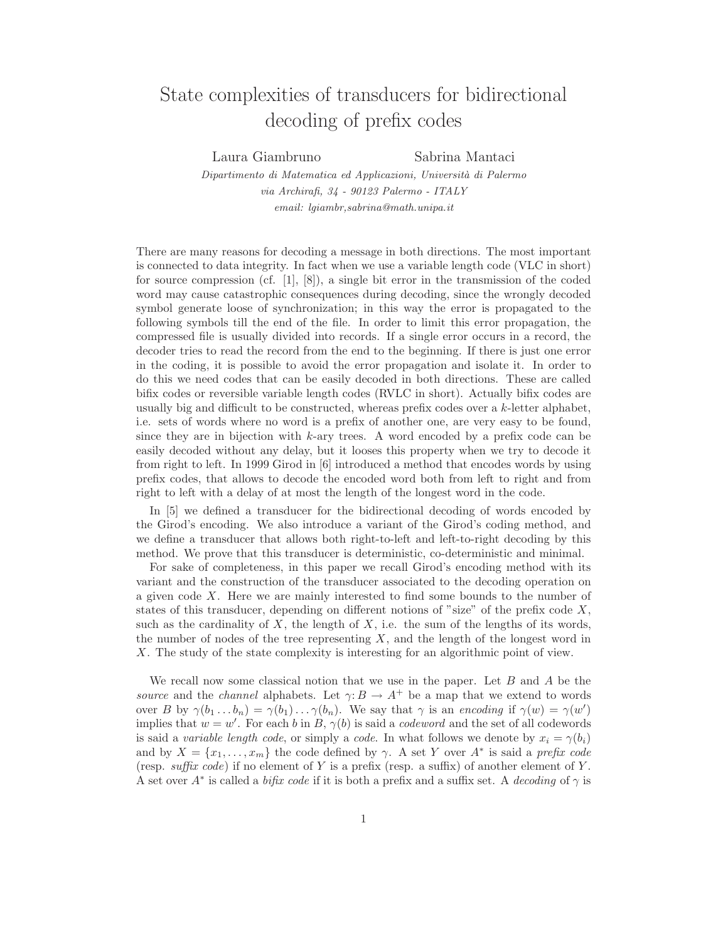## State complexities of transducers for bidirectional decoding of prefix codes

Laura Giambruno Sabrina Mantaci

Dipartimento di Matematica ed Applicazioni, Università di Palermo via Archirafi, 34 - 90123 Palermo - ITALY email: lgiambr,sabrina@math.unipa.it

There are many reasons for decoding a message in both directions. The most important is connected to data integrity. In fact when we use a variable length code (VLC in short) for source compression (cf. [1], [8]), a single bit error in the transmission of the coded word may cause catastrophic consequences during decoding, since the wrongly decoded symbol generate loose of synchronization; in this way the error is propagated to the following symbols till the end of the file. In order to limit this error propagation, the compressed file is usually divided into records. If a single error occurs in a record, the decoder tries to read the record from the end to the beginning. If there is just one error in the coding, it is possible to avoid the error propagation and isolate it. In order to do this we need codes that can be easily decoded in both directions. These are called bifix codes or reversible variable length codes (RVLC in short). Actually bifix codes are usually big and difficult to be constructed, whereas prefix codes over a  $k$ -letter alphabet, i.e. sets of words where no word is a prefix of another one, are very easy to be found, since they are in bijection with  $k$ -ary trees. A word encoded by a prefix code can be easily decoded without any delay, but it looses this property when we try to decode it from right to left. In 1999 Girod in [6] introduced a method that encodes words by using prefix codes, that allows to decode the encoded word both from left to right and from right to left with a delay of at most the length of the longest word in the code.

In [5] we defined a transducer for the bidirectional decoding of words encoded by the Girod's encoding. We also introduce a variant of the Girod's coding method, and we define a transducer that allows both right-to-left and left-to-right decoding by this method. We prove that this transducer is deterministic, co-deterministic and minimal.

For sake of completeness, in this paper we recall Girod's encoding method with its variant and the construction of the transducer associated to the decoding operation on a given code X. Here we are mainly interested to find some bounds to the number of states of this transducer, depending on different notions of "size" of the prefix code  $X$ , such as the cardinality of  $X$ , the length of  $X$ , i.e. the sum of the lengths of its words, the number of nodes of the tree representing  $X$ , and the length of the longest word in X. The study of the state complexity is interesting for an algorithmic point of view.

We recall now some classical notion that we use in the paper. Let  $B$  and  $A$  be the source and the channel alphabets. Let  $\gamma: B \to A^+$  be a map that we extend to words over B by  $\gamma(b_1 \dots b_n) = \gamma(b_1) \dots \gamma(b_n)$ . We say that  $\gamma$  is an encoding if  $\gamma(w) = \gamma(w')$ implies that  $w = w'$ . For each b in B,  $\gamma(b)$  is said a *codeword* and the set of all codewords is said a variable length code, or simply a code. In what follows we denote by  $x_i = \gamma(b_i)$ and by  $X = \{x_1, \ldots, x_m\}$  the code defined by  $\gamma$ . A set Y over  $A^*$  is said a *prefix code* (resp. suffix code) if no element of Y is a prefix (resp. a suffix) of another element of Y. A set over  $A^*$  is called a *bifix code* if it is both a prefix and a suffix set. A *decoding* of  $\gamma$  is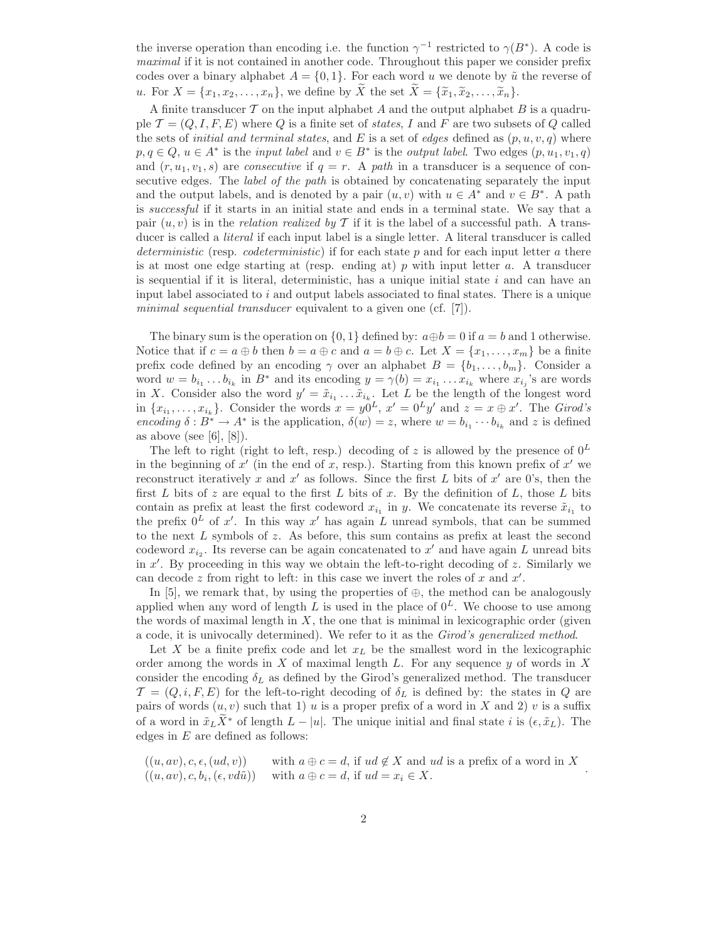the inverse operation than encoding i.e. the function  $\gamma^{-1}$  restricted to  $\gamma(B^*)$ . A code is maximal if it is not contained in another code. Throughout this paper we consider prefix codes over a binary alphabet  $A = \{0, 1\}$ . For each word u we denote by  $\tilde{u}$  the reverse of u. For  $X = \{x_1, x_2, \ldots, x_n\}$ , we define by  $\widetilde{X}$  the set  $\widetilde{X} = \{\widetilde{x}_1, \widetilde{x}_2, \ldots, \widetilde{x}_n\}$ .

A finite transducer  $\mathcal T$  on the input alphabet  $A$  and the output alphabet  $B$  is a quadruple  $\mathcal{T} = (Q, I, F, E)$  where Q is a finite set of states, I and F are two subsets of Q called the sets of *initial and terminal states*, and E is a set of *edges* defined as  $(p, u, v, q)$  where  $p, q \in Q, u \in A^*$  is the *input label* and  $v \in B^*$  is the *output label*. Two edges  $(p, u_1, v_1, q)$ and  $(r, u_1, v_1, s)$  are *consecutive* if  $q = r$ . A path in a transducer is a sequence of consecutive edges. The *label of the path* is obtained by concatenating separately the input and the output labels, and is denoted by a pair  $(u, v)$  with  $u \in A^*$  and  $v \in B^*$ . A path is successful if it starts in an initial state and ends in a terminal state. We say that a pair  $(u, v)$  is in the *relation realized by* T if it is the label of a successful path. A transducer is called a *literal* if each input label is a single letter. A literal transducer is called deterministic (resp. *codeterministic*) if for each state  $p$  and for each input letter  $a$  there is at most one edge starting at (resp. ending at)  $p$  with input letter  $a$ . A transducer is sequential if it is literal, deterministic, has a unique initial state  $i$  and can have an input label associated to i and output labels associated to final states. There is a unique minimal sequential transducer equivalent to a given one (cf. [7]).

The binary sum is the operation on  $\{0, 1\}$  defined by:  $a \oplus b = 0$  if  $a = b$  and 1 otherwise. Notice that if  $c = a \oplus b$  then  $b = a \oplus c$  and  $a = b \oplus c$ . Let  $X = \{x_1, \ldots, x_m\}$  be a finite prefix code defined by an encoding  $\gamma$  over an alphabet  $B = \{b_1, \ldots, b_m\}$ . Consider a word  $w = b_{i_1} \dots b_{i_k}$  in  $B^*$  and its encoding  $y = \gamma(b) = x_{i_1} \dots x_{i_k}$  where  $x_{i_j}$ 's are words in X. Consider also the word  $y' = \tilde{x}_{i_1} \dots \tilde{x}_{i_k}$ . Let L be the length of the longest word in  $\{x_{i_1}, \ldots, x_{i_k}\}$ . Consider the words  $x = y_0^0L$ ,  $x' = 0^L y'$  and  $z = x \oplus x'$ . The Girod's encoding  $\delta: B^* \to A^*$  is the application,  $\delta(w) = z$ , where  $w = b_{i_1} \cdots b_{i_k}$  and z is defined as above (see  $[6]$ ,  $[8]$ ).

The left to right (right to left, resp.) decoding of z is allowed by the presence of  $0^L$ in the beginning of  $x'$  (in the end of x, resp.). Starting from this known prefix of  $x'$  we reconstruct iteratively x and x' as follows. Since the first L bits of  $x'$  are 0's, then the first L bits of z are equal to the first L bits of x. By the definition of L, those L bits contain as prefix at least the first codeword  $x_{i_1}$  in y. We concatenate its reverse  $\tilde{x}_{i_1}$  to the prefix  $0^L$  of x'. In this way x' has again L unread symbols, that can be summed to the next  $L$  symbols of  $z$ . As before, this sum contains as prefix at least the second codeword  $x_{i_2}$ . Its reverse can be again concatenated to  $x'$  and have again L unread bits in  $x'$ . By proceeding in this way we obtain the left-to-right decoding of  $z$ . Similarly we can decode z from right to left: in this case we invert the roles of x and  $x'$ .

In [5], we remark that, by using the properties of  $\oplus$ , the method can be analogously applied when any word of length L is used in the place of  $0<sup>L</sup>$ . We choose to use among the words of maximal length in  $X$ , the one that is minimal in lexicographic order (given a code, it is univocally determined). We refer to it as the Girod's generalized method.

Let  $X$  be a finite prefix code and let  $x<sub>L</sub>$  be the smallest word in the lexicographic order among the words in  $X$  of maximal length  $L$ . For any sequence  $y$  of words in  $X$ consider the encoding  $\delta_L$  as defined by the Girod's generalized method. The transducer  $\mathcal{T} = (Q, i, F, E)$  for the left-to-right decoding of  $\delta_L$  is defined by: the states in Q are pairs of words  $(u, v)$  such that 1) u is a proper prefix of a word in X and 2) v is a suffix of a word in  $\tilde{x}_L X^*$  of length  $L - |u|$ . The unique initial and final state i is  $(\epsilon, \tilde{x}_L)$ . The edges in  $E$  are defined as follows:

$$
((u, av), c, \epsilon, (ud, v)) \qquad \text{with } a \oplus c = d, \text{ if } ud \notin X \text{ and } ud \text{ is a prefix of a word in } X ((u, av), c, b_i, (\epsilon, vd\tilde{u})) \qquad \text{with } a \oplus c = d, \text{ if } ud = x_i \in X.
$$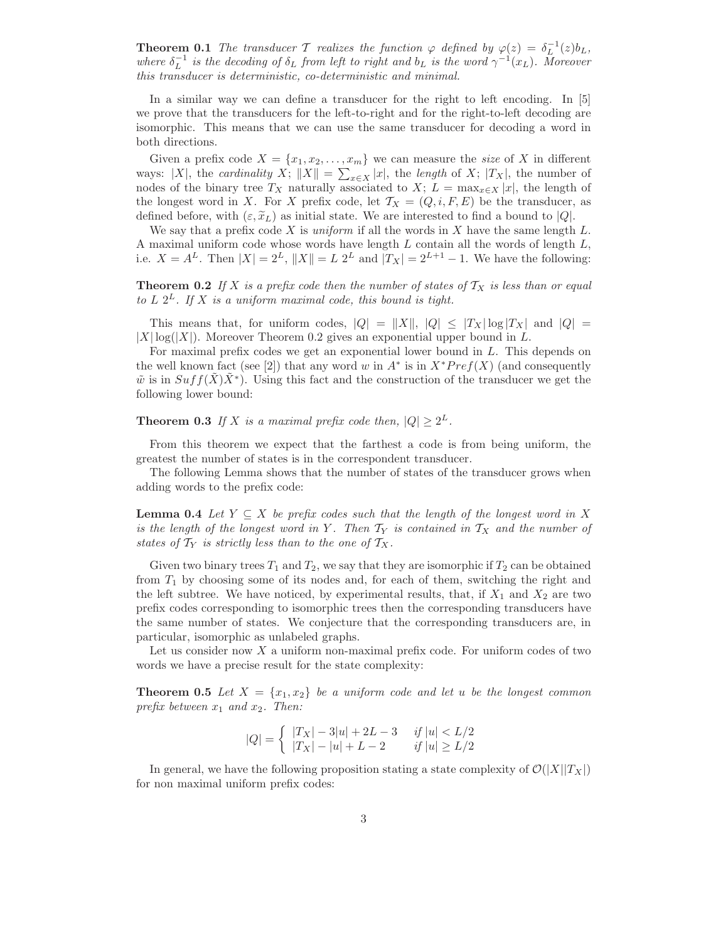**Theorem 0.1** The transducer T realizes the function  $\varphi$  defined by  $\varphi(z) = \delta_L^{-1}(z) b_L$ , where  $\delta_L^{-1}$  is the decoding of  $\delta_L$  from left to right and  $b_L$  is the word  $\gamma^{-1}(x_L)$ . Moreover this transducer is deterministic, co-deterministic and minimal.

In a similar way we can define a transducer for the right to left encoding. In [5] we prove that the transducers for the left-to-right and for the right-to-left decoding are isomorphic. This means that we can use the same transducer for decoding a word in both directions.

Given a prefix code  $X = \{x_1, x_2, \ldots, x_m\}$  we can measure the size of X in different ways: |X|, the *cardinality* X;  $||X|| = \sum_{x \in X} |x|$ , the *length* of X; |T<sub>X</sub>|, the number of nodes of the binary tree  $T_X$  naturally associated to  $X$ ;  $L = \max_{x \in X} |x|$ , the length of the longest word in X. For X prefix code, let  $\mathcal{T}_X = (Q, i, F, E)$  be the transducer, as defined before, with  $(\varepsilon, \tilde{x}_L)$  as initial state. We are interested to find a bound to  $|Q|$ .

We say that a prefix code X is *uniform* if all the words in X have the same length  $L$ . A maximal uniform code whose words have length  $L$  contain all the words of length  $L$ , i.e.  $X = A^L$ . Then  $|X| = 2^L$ ,  $||X|| = L 2^L$  and  $|T_X| = 2^{L+1} - 1$ . We have the following:

**Theorem 0.2** If X is a prefix code then the number of states of  $T_X$  is less than or equal to  $L$   $2^L$ . If  $X$  is a uniform maximal code, this bound is tight.

This means that, for uniform codes,  $|Q| = ||X||$ ,  $|Q| \leq |T_X| \log |T_X|$  and  $|Q| =$  $|X| \log(|X|)$ . Moreover Theorem 0.2 gives an exponential upper bound in L.

For maximal prefix codes we get an exponential lower bound in L. This depends on the well known fact (see [2]) that any word w in  $A^*$  is in  $X^*Pref(X)$  (and consequently  $\tilde{w}$  is in  $Suff(\tilde{X})\tilde{X}^*$ ). Using this fact and the construction of the transducer we get the following lower bound:

**Theorem 0.3** If X is a maximal prefix code then,  $|Q| \ge 2^L$ .

From this theorem we expect that the farthest a code is from being uniform, the greatest the number of states is in the correspondent transducer.

The following Lemma shows that the number of states of the transducer grows when adding words to the prefix code:

**Lemma 0.4** Let  $Y \subseteq X$  be prefix codes such that the length of the longest word in X is the length of the longest word in Y. Then  $T_Y$  is contained in  $T_X$  and the number of states of  $T_Y$  is strictly less than to the one of  $T_X$ .

Given two binary trees  $T_1$  and  $T_2$ , we say that they are isomorphic if  $T_2$  can be obtained from  $T_1$  by choosing some of its nodes and, for each of them, switching the right and the left subtree. We have noticed, by experimental results, that, if  $X_1$  and  $X_2$  are two prefix codes corresponding to isomorphic trees then the corresponding transducers have the same number of states. We conjecture that the corresponding transducers are, in particular, isomorphic as unlabeled graphs.

Let us consider now X a uniform non-maximal prefix code. For uniform codes of two words we have a precise result for the state complexity:

**Theorem 0.5** Let  $X = \{x_1, x_2\}$  be a uniform code and let u be the longest common prefix between  $x_1$  and  $x_2$ . Then:

$$
|Q| = \left\{ \begin{array}{cc} |T_X| - 3|u| + 2L - 3 & \text{ if } |u| < L/2 \\ |T_X| - |u| + L - 2 & \text{ if } |u| \ge L/2 \end{array} \right.
$$

In general, we have the following proposition stating a state complexity of  $\mathcal{O}(|X||T_X|)$ for non maximal uniform prefix codes: